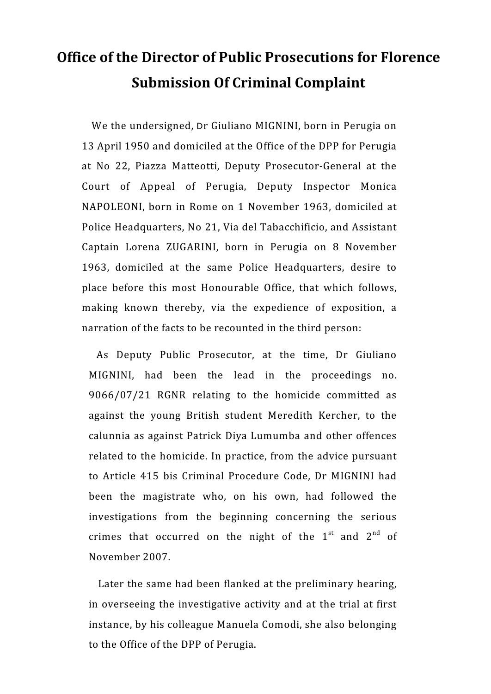# **Office of the Director of Public Prosecutions for Florence Submission Of Criminal Complaint**

 We the undersigned, Dr Giuliano MIGNINI, born in Perugia on 13 April 1950 and domiciled at the Office of the DPP for Perugia at No 22, Piazza Matteotti, Deputy Prosecutor-General at the Court of Appeal of Perugia, Deputy Inspector Monica NAPOLEONI, born in Rome on 1 November 1963, domiciled at Police Headquarters, No 21, Via del Tabacchificio, and Assistant Captain Lorena ZUGARINI, born in Perugia on 8 November 1963, domiciled at the same Police Headquarters, desire to place before this most Honourable Office, that which follows, making known thereby, via the expedience of exposition, a narration of the facts to be recounted in the third person:

 As Deputy Public Prosecutor, at the time, Dr Giuliano MIGNINI, had been the lead in the proceedings no. 9066/07/21 RGNR relating to the homicide committed as against the young British student Meredith Kercher, to the calunnia as against Patrick Diya Lumumba and other offences related to the homicide. In practice, from the advice pursuant to Article 415 bis Criminal Procedure Code, Dr MIGNINI had been the magistrate who, on his own, had followed the investigations from the beginning concerning the serious crimes that occurred on the night of the  $1<sup>st</sup>$  and  $2<sup>nd</sup>$  of November 2007.

 Later the same had been flanked at the preliminary hearing, in overseeing the investigative activity and at the trial at first instance, by his colleague Manuela Comodi, she also belonging to the Office of the DPP of Perugia.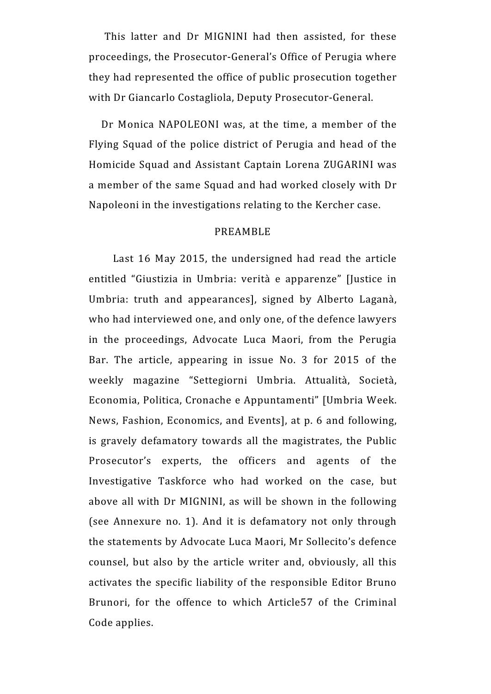This latter and Dr MIGNINI had then assisted, for these proceedings, the Prosecutor-General's Office of Perugia where they had represented the office of public prosecution together with Dr Giancarlo Costagliola, Deputy Prosecutor-General.

 Dr Monica NAPOLEONI was, at the time, a member of the Flying Squad of the police district of Perugia and head of the Homicide Squad and Assistant Captain Lorena ZUGARINI was a member of the same Squad and had worked closely with Dr Napoleoni in the investigations relating to the Kercher case.

### PREAMBLE

 Last 16 May 2015, the undersigned had read the article entitled "Giustizia in Umbria: verità e apparenze" [Justice in Umbria: truth and appearances], signed by Alberto Laganà, who had interviewed one, and only one, of the defence lawyers in the proceedings, Advocate Luca Maori, from the Perugia Bar. The article, appearing in issue No. 3 for 2015 of the weekly magazine "Settegiorni Umbria. Attualità, Società, Economia, Politica, Cronache e Appuntamenti" [Umbria Week. News, Fashion, Economics, and Events], at p. 6 and following, is gravely defamatory towards all the magistrates, the Public Prosecutor's experts, the officers and agents of the Investigative Taskforce who had worked on the case, but above all with Dr MIGNINI, as will be shown in the following (see Annexure no. 1). And it is defamatory not only through the statements by Advocate Luca Maori, Mr Sollecito's defence counsel, but also by the article writer and, obviously, all this activates the specific liability of the responsible Editor Bruno Brunori, for the offence to which Article57 of the Criminal Code applies.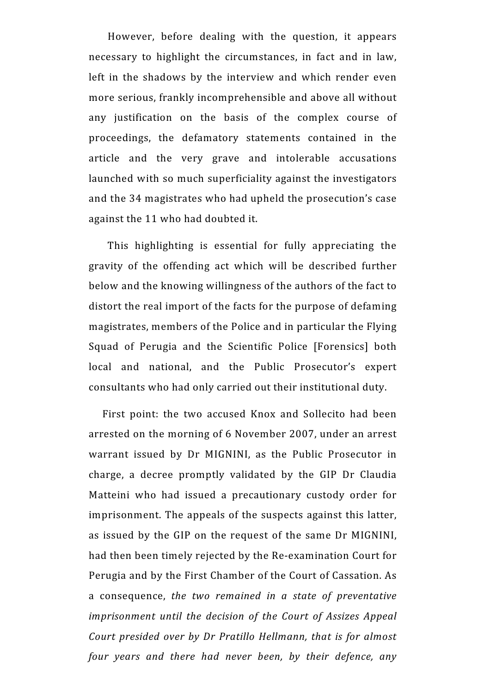However, before dealing with the question, it appears necessary to highlight the circumstances, in fact and in law, left in the shadows by the interview and which render even more serious, frankly incomprehensible and above all without any justification on the basis of the complex course of proceedings, the defamatory statements contained in the article and the very grave and intolerable accusations launched with so much superficiality against the investigators and the 34 magistrates who had upheld the prosecution's case against the 11 who had doubted it.

 This highlighting is essential for fully appreciating the gravity of the offending act which will be described further below and the knowing willingness of the authors of the fact to distort the real import of the facts for the purpose of defaming magistrates, members of the Police and in particular the Flying Squad of Perugia and the Scientific Police [Forensics] both local and national, and the Public Prosecutor's expert consultants who had only carried out their institutional duty.

 First point: the two accused Knox and Sollecito had been arrested on the morning of 6 November 2007, under an arrest warrant issued by Dr MIGNINI, as the Public Prosecutor in charge, a decree promptly validated by the GIP Dr Claudia Matteini who had issued a precautionary custody order for imprisonment. The appeals of the suspects against this latter, as issued by the GIP on the request of the same Dr MIGNINI, had then been timely rejected by the Re-examination Court for Perugia and by the First Chamber of the Court of Cassation. As a consequence, *the two remained in a state of preventative imprisonment until the decision of the Court of Assizes Appeal Court presided over by Dr Pratillo Hellmann, that is for almost four years and there had never been, by their defence, any*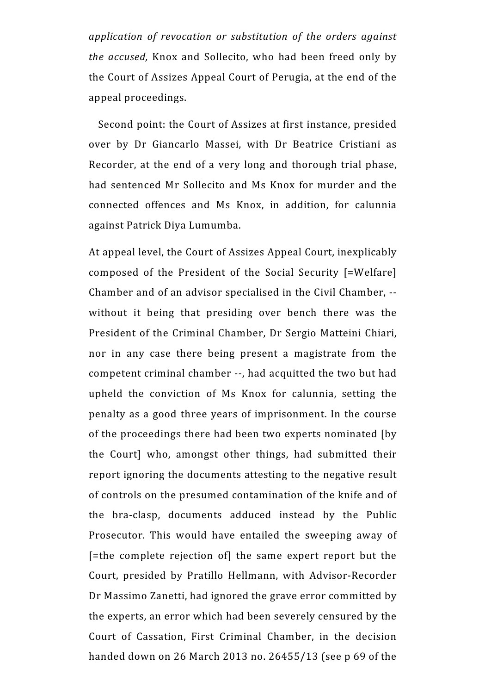*application of revocation or substitution of the orders against the accused,* Knox and Sollecito, who had been freed only by the Court of Assizes Appeal Court of Perugia, at the end of the appeal proceedings.

 Second point: the Court of Assizes at first instance, presided over by Dr Giancarlo Massei, with Dr Beatrice Cristiani as Recorder, at the end of a very long and thorough trial phase, had sentenced Mr Sollecito and Ms Knox for murder and the connected offences and Ms Knox, in addition, for calunnia against Patrick Diya Lumumba.

At appeal level, the Court of Assizes Appeal Court, inexplicably composed of the President of the Social Security [=Welfare] Chamber and of an advisor specialised in the Civil Chamber, - without it being that presiding over bench there was the President of the Criminal Chamber, Dr Sergio Matteini Chiari, nor in any case there being present a magistrate from the competent criminal chamber --, had acquitted the two but had upheld the conviction of Ms Knox for calunnia, setting the penalty as a good three years of imprisonment. In the course of the proceedings there had been two experts nominated [by the Court] who, amongst other things, had submitted their report ignoring the documents attesting to the negative result of controls on the presumed contamination of the knife and of the bra-clasp, documents adduced instead by the Public Prosecutor. This would have entailed the sweeping away of [=the complete rejection of] the same expert report but the Court, presided by Pratillo Hellmann, with Advisor-Recorder Dr Massimo Zanetti, had ignored the grave error committed by the experts, an error which had been severely censured by the Court of Cassation, First Criminal Chamber, in the decision handed down on 26 March 2013 no. 26455/13 (see p 69 of the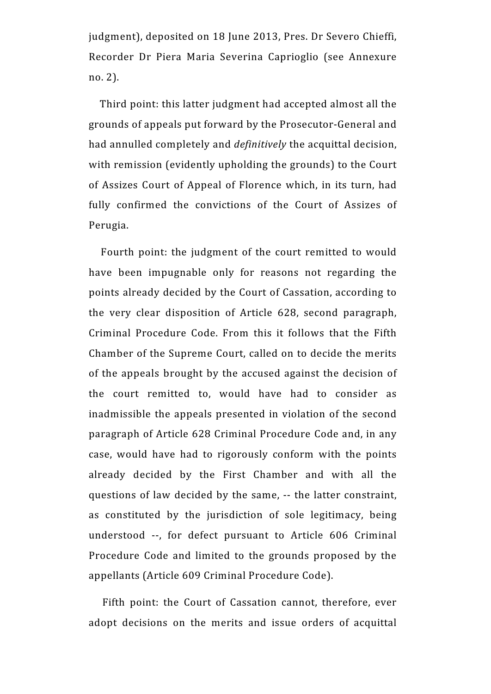judgment), deposited on 18 June 2013, Pres. Dr Severo Chieffi, Recorder Dr Piera Maria Severina Caprioglio (see Annexure no. 2).

 Third point: this latter judgment had accepted almost all the grounds of appeals put forward by the Prosecutor-General and had annulled completely and *definitively* the acquittal decision, with remission (evidently upholding the grounds) to the Court of Assizes Court of Appeal of Florence which, in its turn, had fully confirmed the convictions of the Court of Assizes of Perugia.

 Fourth point: the judgment of the court remitted to would have been impugnable only for reasons not regarding the points already decided by the Court of Cassation, according to the very clear disposition of Article 628, second paragraph, Criminal Procedure Code. From this it follows that the Fifth Chamber of the Supreme Court, called on to decide the merits of the appeals brought by the accused against the decision of the court remitted to, would have had to consider as inadmissible the appeals presented in violation of the second paragraph of Article 628 Criminal Procedure Code and, in any case, would have had to rigorously conform with the points already decided by the First Chamber and with all the questions of law decided by the same, -- the latter constraint, as constituted by the jurisdiction of sole legitimacy, being understood --, for defect pursuant to Article 606 Criminal Procedure Code and limited to the grounds proposed by the appellants (Article 609 Criminal Procedure Code).

 Fifth point: the Court of Cassation cannot, therefore, ever adopt decisions on the merits and issue orders of acquittal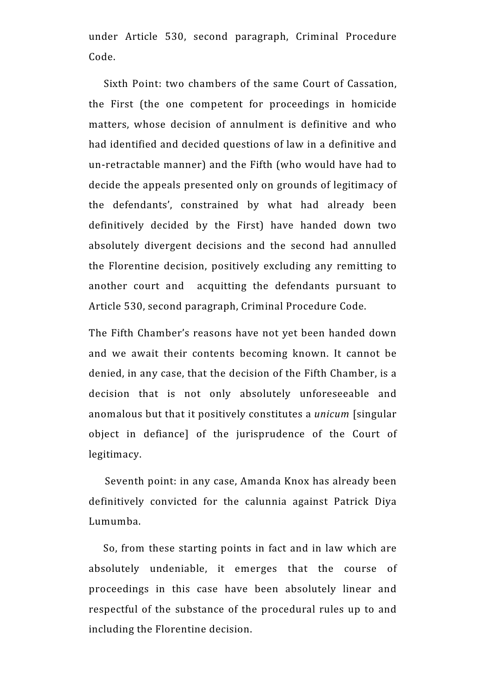under Article 530, second paragraph, Criminal Procedure Code.

 Sixth Point: two chambers of the same Court of Cassation, the First (the one competent for proceedings in homicide matters, whose decision of annulment is definitive and who had identified and decided questions of law in a definitive and un-retractable manner) and the Fifth (who would have had to decide the appeals presented only on grounds of legitimacy of the defendants', constrained by what had already been definitively decided by the First) have handed down two absolutely divergent decisions and the second had annulled the Florentine decision, positively excluding any remitting to another court and acquitting the defendants pursuant to Article 530, second paragraph, Criminal Procedure Code.

The Fifth Chamber's reasons have not yet been handed down and we await their contents becoming known. It cannot be denied, in any case, that the decision of the Fifth Chamber, is a decision that is not only absolutely unforeseeable and anomalous but that it positively constitutes a *unicum* [singular object in defiance] of the jurisprudence of the Court of legitimacy.

 Seventh point: in any case, Amanda Knox has already been definitively convicted for the calunnia against Patrick Diya Lumumba.

 So, from these starting points in fact and in law which are absolutely undeniable, it emerges that the course of proceedings in this case have been absolutely linear and respectful of the substance of the procedural rules up to and including the Florentine decision.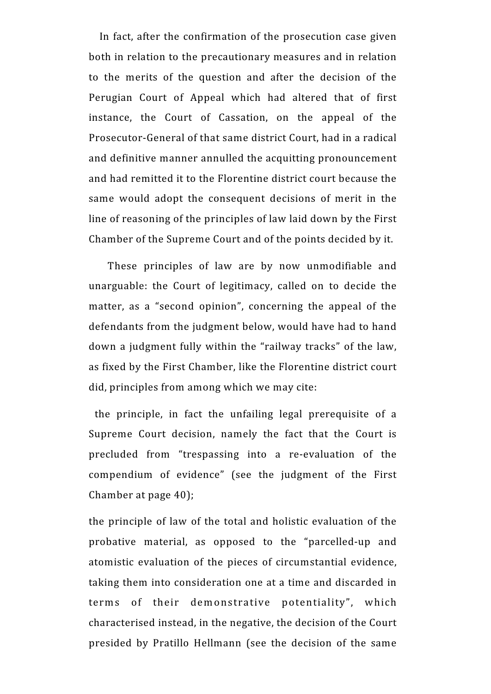In fact, after the confirmation of the prosecution case given both in relation to the precautionary measures and in relation to the merits of the question and after the decision of the Perugian Court of Appeal which had altered that of first instance, the Court of Cassation, on the appeal of the Prosecutor-General of that same district Court, had in a radical and definitive manner annulled the acquitting pronouncement and had remitted it to the Florentine district court because the same would adopt the consequent decisions of merit in the line of reasoning of the principles of law laid down by the First Chamber of the Supreme Court and of the points decided by it.

 These principles of law are by now unmodifiable and unarguable: the Court of legitimacy, called on to decide the matter, as a "second opinion", concerning the appeal of the defendants from the judgment below, would have had to hand down a judgment fully within the "railway tracks" of the law, as fixed by the First Chamber, like the Florentine district court did, principles from among which we may cite:

 the principle, in fact the unfailing legal prerequisite of a Supreme Court decision, namely the fact that the Court is precluded from "trespassing into a re-evaluation of the compendium of evidence" (see the judgment of the First Chamber at page 40);

the principle of law of the total and holistic evaluation of the probative material, as opposed to the "parcelled-up and atomistic evaluation of the pieces of circumstantial evidence, taking them into consideration one at a time and discarded in terms of their demonstrative potentiality", which characterised instead, in the negative, the decision of the Court presided by Pratillo Hellmann (see the decision of the same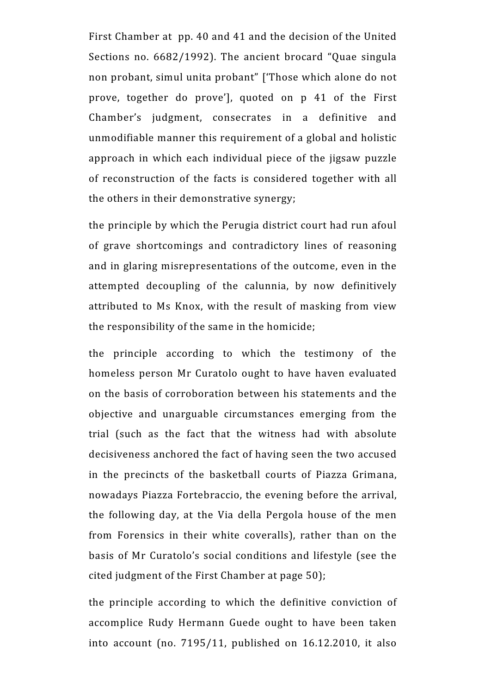First Chamber at pp. 40 and 41 and the decision of the United Sections no. 6682/1992). The ancient brocard "Quae singula non probant, simul unita probant" ['Those which alone do not prove, together do prove'], quoted on p 41 of the First Chamber's judgment, consecrates in a definitive and unmodifiable manner this requirement of a global and holistic approach in which each individual piece of the jigsaw puzzle of reconstruction of the facts is considered together with all the others in their demonstrative synergy;

the principle by which the Perugia district court had run afoul of grave shortcomings and contradictory lines of reasoning and in glaring misrepresentations of the outcome, even in the attempted decoupling of the calunnia, by now definitively attributed to Ms Knox, with the result of masking from view the responsibility of the same in the homicide;

the principle according to which the testimony of the homeless person Mr Curatolo ought to have haven evaluated on the basis of corroboration between his statements and the objective and unarguable circumstances emerging from the trial (such as the fact that the witness had with absolute decisiveness anchored the fact of having seen the two accused in the precincts of the basketball courts of Piazza Grimana, nowadays Piazza Fortebraccio, the evening before the arrival, the following day, at the Via della Pergola house of the men from Forensics in their white coveralls), rather than on the basis of Mr Curatolo's social conditions and lifestyle (see the cited judgment of the First Chamber at page 50);

the principle according to which the definitive conviction of accomplice Rudy Hermann Guede ought to have been taken into account (no. 7195/11, published on 16.12.2010, it also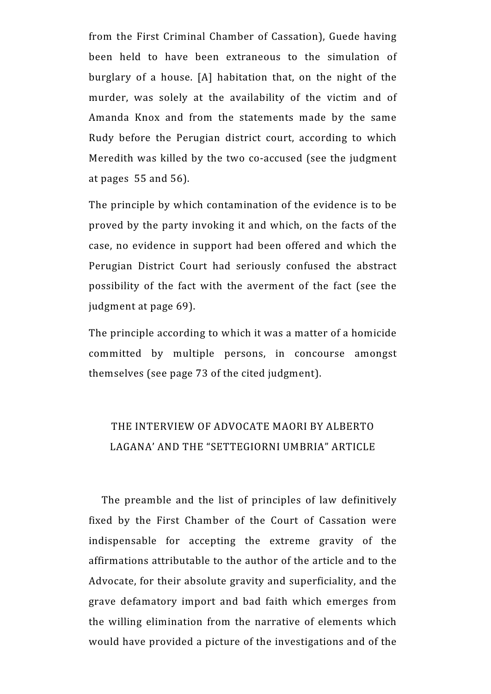from the First Criminal Chamber of Cassation), Guede having been held to have been extraneous to the simulation of burglary of a house. [A] habitation that, on the night of the murder, was solely at the availability of the victim and of Amanda Knox and from the statements made by the same Rudy before the Perugian district court, according to which Meredith was killed by the two co-accused (see the judgment at pages 55 and 56).

The principle by which contamination of the evidence is to be proved by the party invoking it and which, on the facts of the case, no evidence in support had been offered and which the Perugian District Court had seriously confused the abstract possibility of the fact with the averment of the fact (see the judgment at page 69).

The principle according to which it was a matter of a homicide committed by multiple persons, in concourse amongst themselves (see page 73 of the cited judgment).

## THE INTERVIEW OF ADVOCATE MAORI BY ALBERTO LAGANA' AND THE "SETTEGIORNI UMBRIA" ARTICLE

 The preamble and the list of principles of law definitively fixed by the First Chamber of the Court of Cassation were indispensable for accepting the extreme gravity of the affirmations attributable to the author of the article and to the Advocate, for their absolute gravity and superficiality, and the grave defamatory import and bad faith which emerges from the willing elimination from the narrative of elements which would have provided a picture of the investigations and of the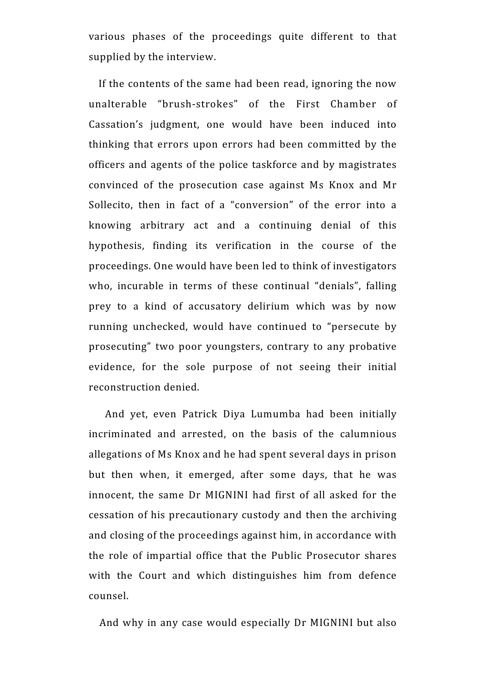various phases of the proceedings quite different to that supplied by the interview.

 If the contents of the same had been read, ignoring the now unalterable "brush-strokes" of the First Chamber of Cassation's judgment, one would have been induced into thinking that errors upon errors had been committed by the officers and agents of the police taskforce and by magistrates convinced of the prosecution case against Ms Knox and Mr Sollecito, then in fact of a "conversion" of the error into a knowing arbitrary act and a continuing denial of this hypothesis, finding its verification in the course of the proceedings. One would have been led to think of investigators who, incurable in terms of these continual "denials", falling prey to a kind of accusatory delirium which was by now running unchecked, would have continued to "persecute by prosecuting" two poor youngsters, contrary to any probative evidence, for the sole purpose of not seeing their initial reconstruction denied.

 And yet, even Patrick Diya Lumumba had been initially incriminated and arrested, on the basis of the calumnious allegations of Ms Knox and he had spent several days in prison but then when, it emerged, after some days, that he was innocent, the same Dr MIGNINI had first of all asked for the cessation of his precautionary custody and then the archiving and closing of the proceedings against him, in accordance with the role of impartial office that the Public Prosecutor shares with the Court and which distinguishes him from defence counsel.

And why in any case would especially Dr MIGNINI but also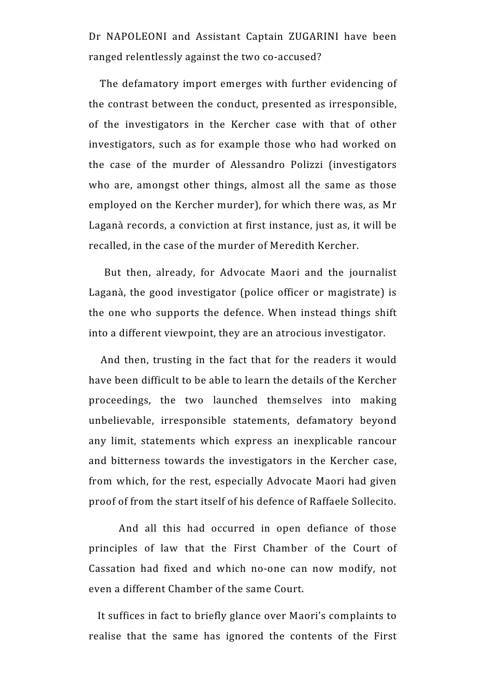Dr NAPOLEONI and Assistant Captain ZUGARINI have been ranged relentlessly against the two co-accused?

 The defamatory import emerges with further evidencing of the contrast between the conduct, presented as irresponsible, of the investigators in the Kercher case with that of other investigators, such as for example those who had worked on the case of the murder of Alessandro Polizzi (investigators who are, amongst other things, almost all the same as those employed on the Kercher murder), for which there was, as Mr Laganà records, a conviction at first instance, just as, it will be recalled, in the case of the murder of Meredith Kercher.

 But then, already, for Advocate Maori and the journalist Laganà, the good investigator (police officer or magistrate) is the one who supports the defence. When instead things shift into a different viewpoint, they are an atrocious investigator.

 And then, trusting in the fact that for the readers it would have been difficult to be able to learn the details of the Kercher proceedings, the two launched themselves into making unbelievable, irresponsible statements, defamatory beyond any limit, statements which express an inexplicable rancour and bitterness towards the investigators in the Kercher case, from which, for the rest, especially Advocate Maori had given proof of from the start itself of his defence of Raffaele Sollecito.

 And all this had occurred in open defiance of those principles of law that the First Chamber of the Court of Cassation had fixed and which no-one can now modify, not even a different Chamber of the same Court.

 It suffices in fact to briefly glance over Maori's complaints to realise that the same has ignored the contents of the First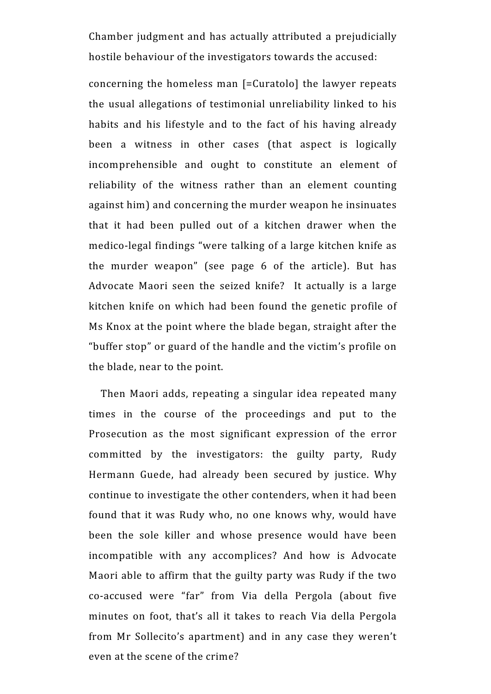Chamber judgment and has actually attributed a prejudicially hostile behaviour of the investigators towards the accused:

concerning the homeless man [=Curatolo] the lawyer repeats the usual allegations of testimonial unreliability linked to his habits and his lifestyle and to the fact of his having already been a witness in other cases (that aspect is logically incomprehensible and ought to constitute an element of reliability of the witness rather than an element counting against him) and concerning the murder weapon he insinuates that it had been pulled out of a kitchen drawer when the medico-legal findings "were talking of a large kitchen knife as the murder weapon" (see page 6 of the article). But has Advocate Maori seen the seized knife? It actually is a large kitchen knife on which had been found the genetic profile of Ms Knox at the point where the blade began, straight after the "buffer stop" or guard of the handle and the victim's profile on the blade, near to the point.

 Then Maori adds, repeating a singular idea repeated many times in the course of the proceedings and put to the Prosecution as the most significant expression of the error committed by the investigators: the guilty party, Rudy Hermann Guede, had already been secured by justice. Why continue to investigate the other contenders, when it had been found that it was Rudy who, no one knows why, would have been the sole killer and whose presence would have been incompatible with any accomplices? And how is Advocate Maori able to affirm that the guilty party was Rudy if the two co-accused were "far" from Via della Pergola (about five minutes on foot, that's all it takes to reach Via della Pergola from Mr Sollecito's apartment) and in any case they weren't even at the scene of the crime?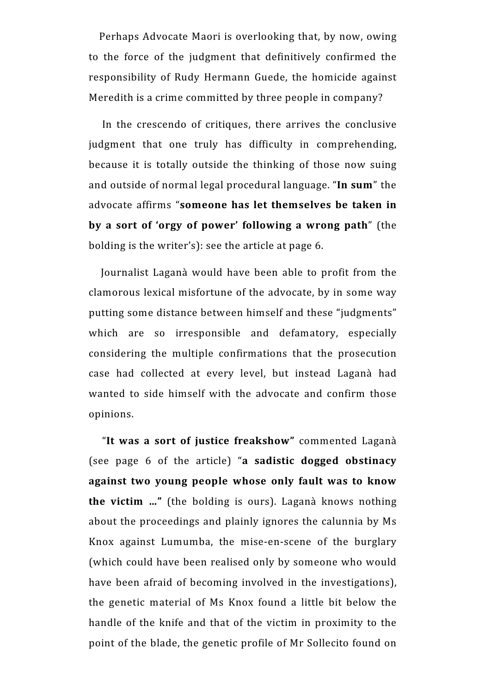Perhaps Advocate Maori is overlooking that, by now, owing to the force of the judgment that definitively confirmed the responsibility of Rudy Hermann Guede, the homicide against Meredith is a crime committed by three people in company?

 In the crescendo of critiques, there arrives the conclusive judgment that one truly has difficulty in comprehending, because it is totally outside the thinking of those now suing and outside of normal legal procedural language. "**In sum**" the advocate affirms "**someone has let themselves be taken in by a sort of 'orgy of power' following a wrong path**" (the bolding is the writer's): see the article at page 6.

 Journalist Laganà would have been able to profit from the clamorous lexical misfortune of the advocate, by in some way putting some distance between himself and these "judgments" which are so irresponsible and defamatory, especially considering the multiple confirmations that the prosecution case had collected at every level, but instead Laganà had wanted to side himself with the advocate and confirm those opinions.

 "**It was a sort of justice freakshow"** commented Laganà (see page 6 of the article) "**a sadistic dogged obstinacy against two young people whose only fault was to know the victim …"** (the bolding is ours). Laganà knows nothing about the proceedings and plainly ignores the calunnia by Ms Knox against Lumumba, the mise-en-scene of the burglary (which could have been realised only by someone who would have been afraid of becoming involved in the investigations), the genetic material of Ms Knox found a little bit below the handle of the knife and that of the victim in proximity to the point of the blade, the genetic profile of Mr Sollecito found on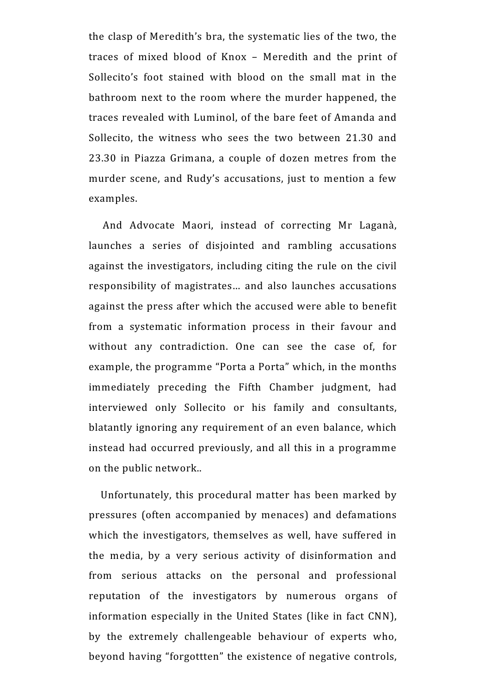the clasp of Meredith's bra, the systematic lies of the two, the traces of mixed blood of Knox – Meredith and the print of Sollecito's foot stained with blood on the small mat in the bathroom next to the room where the murder happened, the traces revealed with Luminol, of the bare feet of Amanda and Sollecito, the witness who sees the two between 21.30 and 23.30 in Piazza Grimana, a couple of dozen metres from the murder scene, and Rudy's accusations, just to mention a few examples.

 And Advocate Maori, instead of correcting Mr Laganà, launches a series of disjointed and rambling accusations against the investigators, including citing the rule on the civil responsibility of magistrates… and also launches accusations against the press after which the accused were able to benefit from a systematic information process in their favour and without any contradiction. One can see the case of, for example, the programme "Porta a Porta" which, in the months immediately preceding the Fifth Chamber judgment, had interviewed only Sollecito or his family and consultants, blatantly ignoring any requirement of an even balance, which instead had occurred previously, and all this in a programme on the public network..

 Unfortunately, this procedural matter has been marked by pressures (often accompanied by menaces) and defamations which the investigators, themselves as well, have suffered in the media, by a very serious activity of disinformation and from serious attacks on the personal and professional reputation of the investigators by numerous organs of information especially in the United States (like in fact CNN), by the extremely challengeable behaviour of experts who, beyond having "forgottten" the existence of negative controls,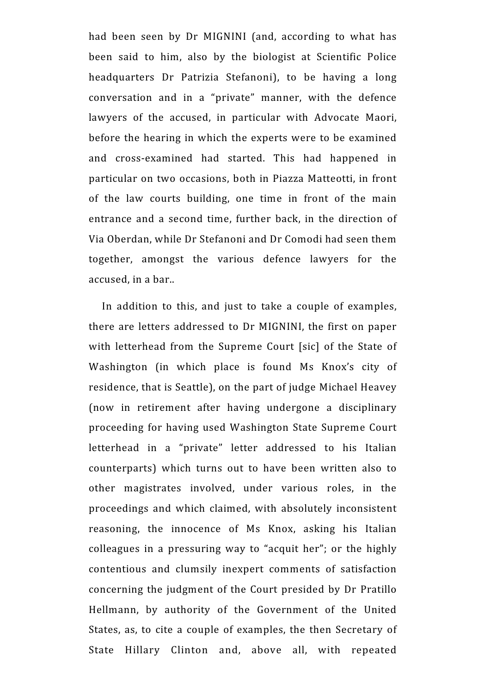had been seen by Dr MIGNINI (and, according to what has been said to him, also by the biologist at Scientific Police headquarters Dr Patrizia Stefanoni), to be having a long conversation and in a "private" manner, with the defence lawyers of the accused, in particular with Advocate Maori, before the hearing in which the experts were to be examined and cross-examined had started. This had happened in particular on two occasions, both in Piazza Matteotti, in front of the law courts building, one time in front of the main entrance and a second time, further back, in the direction of Via Oberdan, while Dr Stefanoni and Dr Comodi had seen them together, amongst the various defence lawyers for the accused, in a bar..

 In addition to this, and just to take a couple of examples, there are letters addressed to Dr MIGNINI, the first on paper with letterhead from the Supreme Court [sic] of the State of Washington (in which place is found Ms Knox's city of residence, that is Seattle), on the part of judge Michael Heavey (now in retirement after having undergone a disciplinary proceeding for having used Washington State Supreme Court letterhead in a "private" letter addressed to his Italian counterparts) which turns out to have been written also to other magistrates involved, under various roles, in the proceedings and which claimed, with absolutely inconsistent reasoning, the innocence of Ms Knox, asking his Italian colleagues in a pressuring way to "acquit her"; or the highly contentious and clumsily inexpert comments of satisfaction concerning the judgment of the Court presided by Dr Pratillo Hellmann, by authority of the Government of the United States, as, to cite a couple of examples, the then Secretary of State Hillary Clinton and, above all, with repeated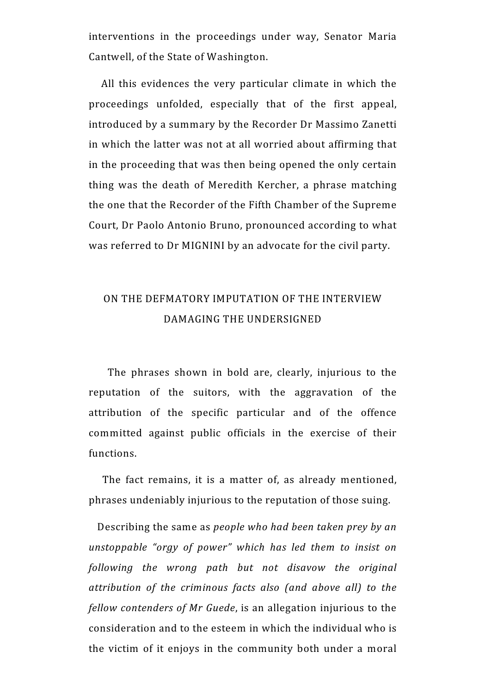interventions in the proceedings under way, Senator Maria Cantwell, of the State of Washington.

 All this evidences the very particular climate in which the proceedings unfolded, especially that of the first appeal, introduced by a summary by the Recorder Dr Massimo Zanetti in which the latter was not at all worried about affirming that in the proceeding that was then being opened the only certain thing was the death of Meredith Kercher, a phrase matching the one that the Recorder of the Fifth Chamber of the Supreme Court, Dr Paolo Antonio Bruno, pronounced according to what was referred to Dr MIGNINI by an advocate for the civil party.

### ON THE DEFMATORY IMPUTATION OF THE INTERVIEW DAMAGING THE UNDERSIGNED

 The phrases shown in bold are, clearly, injurious to the reputation of the suitors, with the aggravation of the attribution of the specific particular and of the offence committed against public officials in the exercise of their functions.

The fact remains, it is a matter of, as already mentioned, phrases undeniably injurious to the reputation of those suing.

 Describing the same as *people who had been taken prey by an unstoppable "orgy of power" which has led them to insist on following the wrong path but not disavow the original attribution of the criminous facts also (and above all) to the fellow contenders of Mr Guede*, is an allegation injurious to the consideration and to the esteem in which the individual who is the victim of it enjoys in the community both under a moral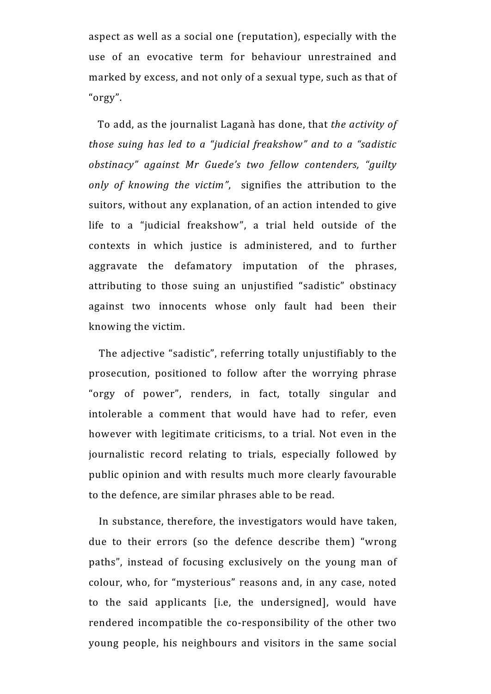aspect as well as a social one (reputation), especially with the use of an evocative term for behaviour unrestrained and marked by excess, and not only of a sexual type, such as that of "orgy".

 To add, as the journalist Laganà has done, that *the activity of those suing has led to a "judicial freakshow" and to a "sadistic obstinacy" against Mr Guede's two fellow contenders, "guilty only of knowing the victim"*, signifies the attribution to the suitors, without any explanation, of an action intended to give life to a "judicial freakshow", a trial held outside of the contexts in which justice is administered, and to further aggravate the defamatory imputation of the phrases, attributing to those suing an unjustified "sadistic" obstinacy against two innocents whose only fault had been their knowing the victim.

 The adjective "sadistic", referring totally unjustifiably to the prosecution, positioned to follow after the worrying phrase "orgy of power", renders, in fact, totally singular and intolerable a comment that would have had to refer, even however with legitimate criticisms, to a trial. Not even in the journalistic record relating to trials, especially followed by public opinion and with results much more clearly favourable to the defence, are similar phrases able to be read.

 In substance, therefore, the investigators would have taken, due to their errors (so the defence describe them) "wrong paths", instead of focusing exclusively on the young man of colour, who, for "mysterious" reasons and, in any case, noted to the said applicants [i.e, the undersigned], would have rendered incompatible the co-responsibility of the other two young people, his neighbours and visitors in the same social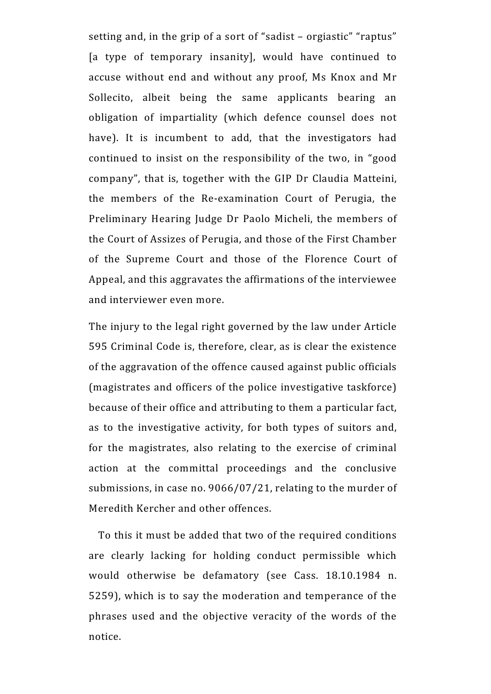setting and, in the grip of a sort of "sadist – orgiastic" "raptus" [a type of temporary insanity], would have continued to accuse without end and without any proof, Ms Knox and Mr Sollecito, albeit being the same applicants bearing an obligation of impartiality (which defence counsel does not have). It is incumbent to add, that the investigators had continued to insist on the responsibility of the two, in "good company", that is, together with the GIP Dr Claudia Matteini, the members of the Re-examination Court of Perugia, the Preliminary Hearing Judge Dr Paolo Micheli, the members of the Court of Assizes of Perugia, and those of the First Chamber of the Supreme Court and those of the Florence Court of Appeal, and this aggravates the affirmations of the interviewee and interviewer even more.

The injury to the legal right governed by the law under Article 595 Criminal Code is, therefore, clear, as is clear the existence of the aggravation of the offence caused against public officials (magistrates and officers of the police investigative taskforce) because of their office and attributing to them a particular fact, as to the investigative activity, for both types of suitors and, for the magistrates, also relating to the exercise of criminal action at the committal proceedings and the conclusive submissions, in case no. 9066/07/21, relating to the murder of Meredith Kercher and other offences.

 To this it must be added that two of the required conditions are clearly lacking for holding conduct permissible which would otherwise be defamatory (see Cass. 18.10.1984 n. 5259), which is to say the moderation and temperance of the phrases used and the objective veracity of the words of the notice.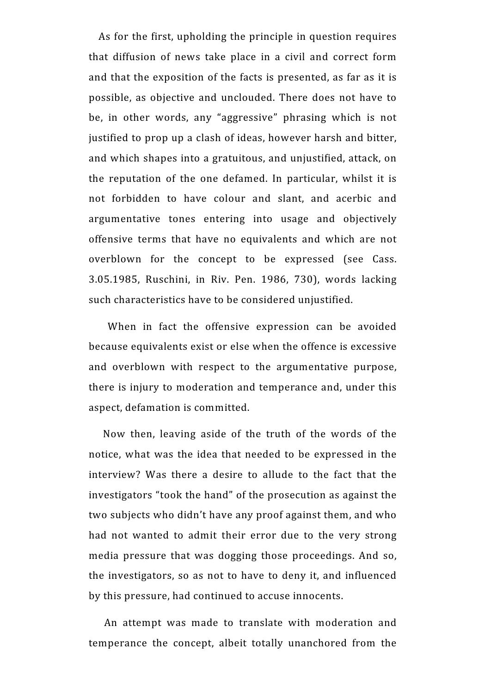As for the first, upholding the principle in question requires that diffusion of news take place in a civil and correct form and that the exposition of the facts is presented, as far as it is possible, as objective and unclouded. There does not have to be, in other words, any "aggressive" phrasing which is not justified to prop up a clash of ideas, however harsh and bitter, and which shapes into a gratuitous, and unjustified, attack, on the reputation of the one defamed. In particular, whilst it is not forbidden to have colour and slant, and acerbic and argumentative tones entering into usage and objectively offensive terms that have no equivalents and which are not overblown for the concept to be expressed (see Cass. 3.05.1985, Ruschini, in Riv. Pen. 1986, 730), words lacking such characteristics have to be considered unjustified.

 When in fact the offensive expression can be avoided because equivalents exist or else when the offence is excessive and overblown with respect to the argumentative purpose, there is injury to moderation and temperance and, under this aspect, defamation is committed.

 Now then, leaving aside of the truth of the words of the notice, what was the idea that needed to be expressed in the interview? Was there a desire to allude to the fact that the investigators "took the hand" of the prosecution as against the two subjects who didn't have any proof against them, and who had not wanted to admit their error due to the very strong media pressure that was dogging those proceedings. And so, the investigators, so as not to have to deny it, and influenced by this pressure, had continued to accuse innocents.

 An attempt was made to translate with moderation and temperance the concept, albeit totally unanchored from the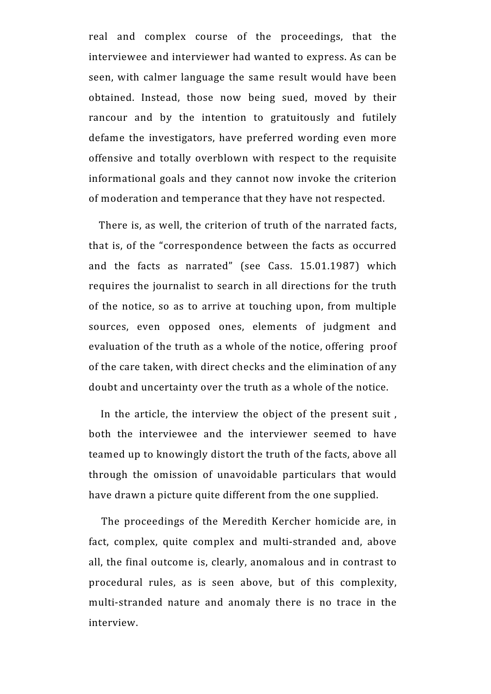real and complex course of the proceedings, that the interviewee and interviewer had wanted to express. As can be seen, with calmer language the same result would have been obtained. Instead, those now being sued, moved by their rancour and by the intention to gratuitously and futilely defame the investigators, have preferred wording even more offensive and totally overblown with respect to the requisite informational goals and they cannot now invoke the criterion of moderation and temperance that they have not respected.

There is, as well, the criterion of truth of the narrated facts, that is, of the "correspondence between the facts as occurred and the facts as narrated" (see Cass. 15.01.1987) which requires the journalist to search in all directions for the truth of the notice, so as to arrive at touching upon, from multiple sources, even opposed ones, elements of judgment and evaluation of the truth as a whole of the notice, offering proof of the care taken, with direct checks and the elimination of any doubt and uncertainty over the truth as a whole of the notice.

 In the article, the interview the object of the present suit , both the interviewee and the interviewer seemed to have teamed up to knowingly distort the truth of the facts, above all through the omission of unavoidable particulars that would have drawn a picture quite different from the one supplied.

 The proceedings of the Meredith Kercher homicide are, in fact, complex, quite complex and multi-stranded and, above all, the final outcome is, clearly, anomalous and in contrast to procedural rules, as is seen above, but of this complexity, multi-stranded nature and anomaly there is no trace in the interview.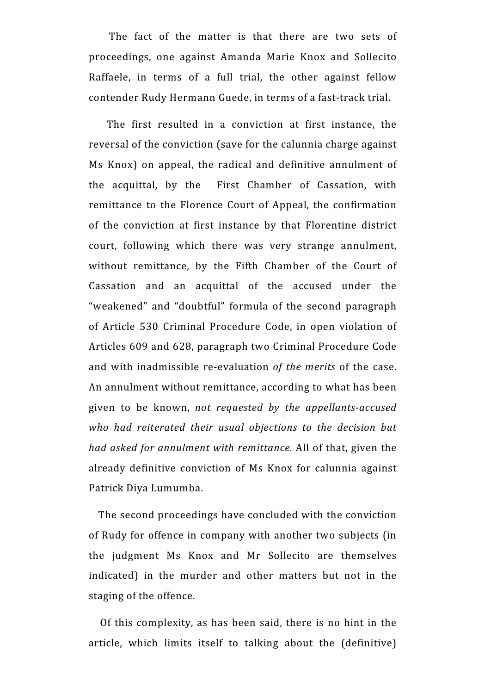The fact of the matter is that there are two sets of proceedings, one against Amanda Marie Knox and Sollecito Raffaele, in terms of a full trial, the other against fellow contender Rudy Hermann Guede, in terms of a fast-track trial.

 The first resulted in a conviction at first instance, the reversal of the conviction (save for the calunnia charge against Ms Knox) on appeal, the radical and definitive annulment of the acquittal, by the First Chamber of Cassation, with remittance to the Florence Court of Appeal, the confirmation of the conviction at first instance by that Florentine district court, following which there was very strange annulment, without remittance, by the Fifth Chamber of the Court of Cassation and an acquittal of the accused under the "weakened" and "doubtful" formula of the second paragraph of Article 530 Criminal Procedure Code, in open violation of Articles 609 and 628, paragraph two Criminal Procedure Code and with inadmissible re-evaluation *of the merits* of the case. An annulment without remittance, according to what has been given to be known, *not requested by the appellants-accused who had reiterated their usual objections to the decision but had asked for annulment with remittance.* All of that, given the already definitive conviction of Ms Knox for calunnia against Patrick Diya Lumumba.

 The second proceedings have concluded with the conviction of Rudy for offence in company with another two subjects (in the judgment Ms Knox and Mr Sollecito are themselves indicated) in the murder and other matters but not in the staging of the offence.

 Of this complexity, as has been said, there is no hint in the article, which limits itself to talking about the (definitive)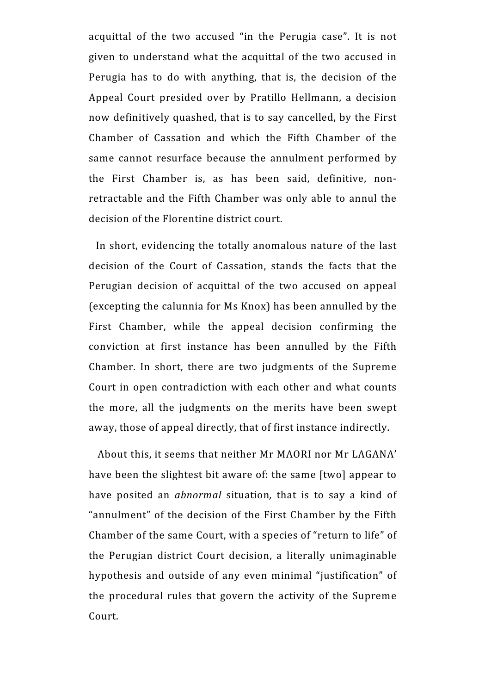acquittal of the two accused "in the Perugia case". It is not given to understand what the acquittal of the two accused in Perugia has to do with anything, that is, the decision of the Appeal Court presided over by Pratillo Hellmann, a decision now definitively quashed, that is to say cancelled, by the First Chamber of Cassation and which the Fifth Chamber of the same cannot resurface because the annulment performed by the First Chamber is, as has been said, definitive, nonretractable and the Fifth Chamber was only able to annul the decision of the Florentine district court.

 In short, evidencing the totally anomalous nature of the last decision of the Court of Cassation, stands the facts that the Perugian decision of acquittal of the two accused on appeal (excepting the calunnia for Ms Knox) has been annulled by the First Chamber, while the appeal decision confirming the conviction at first instance has been annulled by the Fifth Chamber. In short, there are two judgments of the Supreme Court in open contradiction with each other and what counts the more, all the judgments on the merits have been swept away, those of appeal directly, that of first instance indirectly.

 About this, it seems that neither Mr MAORI nor Mr LAGANA' have been the slightest bit aware of: the same [two] appear to have posited an *abnormal* situation*,* that is to say a kind of "annulment" of the decision of the First Chamber by the Fifth Chamber of the same Court, with a species of "return to life" of the Perugian district Court decision, a literally unimaginable hypothesis and outside of any even minimal "justification" of the procedural rules that govern the activity of the Supreme Court.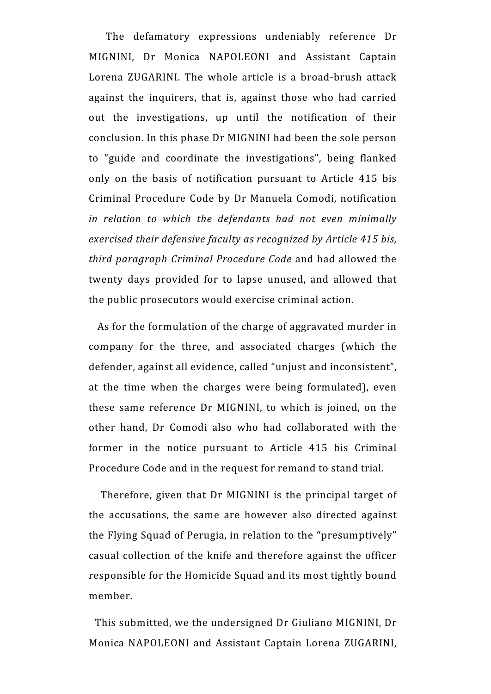The defamatory expressions undeniably reference Dr MIGNINI, Dr Monica NAPOLEONI and Assistant Captain Lorena ZUGARINI. The whole article is a broad-brush attack against the inquirers, that is, against those who had carried out the investigations, up until the notification of their conclusion. In this phase Dr MIGNINI had been the sole person to "guide and coordinate the investigations", being flanked only on the basis of notification pursuant to Article 415 bis Criminal Procedure Code by Dr Manuela Comodi, notification *in relation to which the defendants had not even minimally exercised their defensive faculty as recognized by Article 415 bis, third paragraph Criminal Procedure Code* and had allowed the twenty days provided for to lapse unused, and allowed that the public prosecutors would exercise criminal action.

 As for the formulation of the charge of aggravated murder in company for the three, and associated charges (which the defender, against all evidence, called "unjust and inconsistent", at the time when the charges were being formulated), even these same reference Dr MIGNINI, to which is joined, on the other hand, Dr Comodi also who had collaborated with the former in the notice pursuant to Article 415 bis Criminal Procedure Code and in the request for remand to stand trial.

 Therefore, given that Dr MIGNINI is the principal target of the accusations, the same are however also directed against the Flying Squad of Perugia, in relation to the "presumptively" casual collection of the knife and therefore against the officer responsible for the Homicide Squad and its most tightly bound member.

 This submitted, we the undersigned Dr Giuliano MIGNINI, Dr Monica NAPOLEONI and Assistant Captain Lorena ZUGARINI,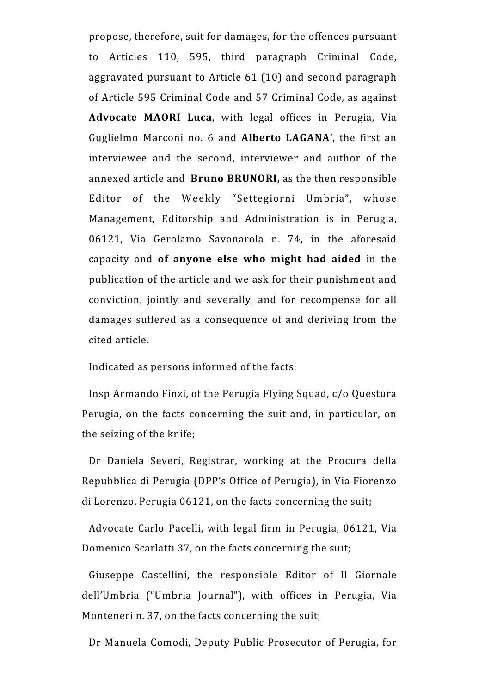propose, therefore, suit for damages, for the offences pursuant to Articles 110, 595, third paragraph Criminal Code, aggravated pursuant to Article 61 (10) and second paragraph of Article 595 Criminal Code and 57 Criminal Code, as against **Advocate MAORI Luca**, with legal offices in Perugia, Via Guglielmo Marconi no. 6 and **Alberto LAGANA'**, the first an interviewee and the second, interviewer and author of the annexed article and **Bruno BRUNORI,** as the then responsible Editor of the Weekly "Settegiorni Umbria", whose Management, Editorship and Administration is in Perugia, 06121, Via Gerolamo Savonarola n. 74**,** in the aforesaid capacity and **of anyone else who might had aided** in the publication of the article and we ask for their punishment and conviction, jointly and severally, and for recompense for all damages suffered as a consequence of and deriving from the cited article.

Indicated as persons informed of the facts:

Insp Armando Finzi, of the Perugia Flying Squad, c/o Questura Perugia, on the facts concerning the suit and, in particular, on the seizing of the knife;

Dr Daniela Severi, Registrar, working at the Procura della Repubblica di Perugia (DPP's Office of Perugia), in Via Fiorenzo di Lorenzo, Perugia 06121, on the facts concerning the suit;

Advocate Carlo Pacelli, with legal firm in Perugia, 06121, Via Domenico Scarlatti 37, on the facts concerning the suit;

Giuseppe Castellini, the responsible Editor of Il Giornale dell'Umbria ("Umbria Journal"), with offices in Perugia, Via Monteneri n. 37, on the facts concerning the suit;

Dr Manuela Comodi, Deputy Public Prosecutor of Perugia, for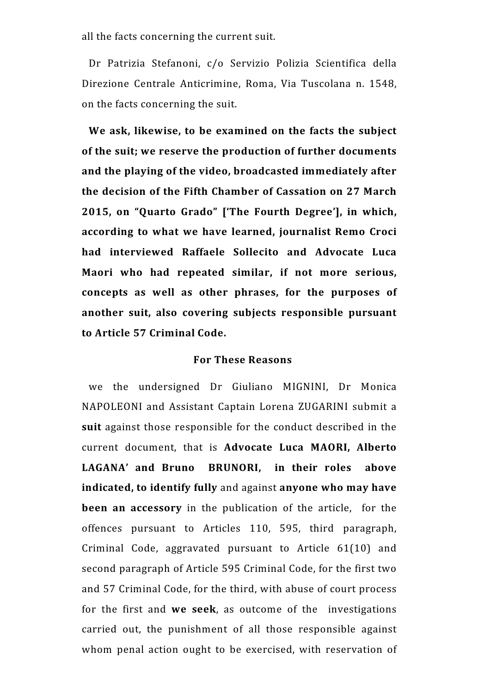all the facts concerning the current suit.

Dr Patrizia Stefanoni, c/o Servizio Polizia Scientifica della Direzione Centrale Anticrimine, Roma, Via Tuscolana n. 1548, on the facts concerning the suit.

**We ask, likewise, to be examined on the facts the subject of the suit; we reserve the production of further documents and the playing of the video, broadcasted immediately after the decision of the Fifth Chamber of Cassation on 27 March 2015, on "Quarto Grado" ['The Fourth Degree'], in which, according to what we have learned, journalist Remo Croci had interviewed Raffaele Sollecito and Advocate Luca Maori who had repeated similar, if not more serious, concepts as well as other phrases, for the purposes of another suit, also covering subjects responsible pursuant to Article 57 Criminal Code.** 

#### **For These Reasons**

we the undersigned Dr Giuliano MIGNINI, Dr Monica NAPOLEONI and Assistant Captain Lorena ZUGARINI submit a **suit** against those responsible for the conduct described in the current document, that is **Advocate Luca MAORI, Alberto LAGANA' and Bruno BRUNORI, in their roles above indicated, to identify fully** and against **anyone who may have been an accessory** in the publication of the article, for the offences pursuant to Articles 110, 595, third paragraph, Criminal Code, aggravated pursuant to Article 61(10) and second paragraph of Article 595 Criminal Code, for the first two and 57 Criminal Code, for the third, with abuse of court process for the first and **we seek**, as outcome of the investigations carried out, the punishment of all those responsible against whom penal action ought to be exercised, with reservation of